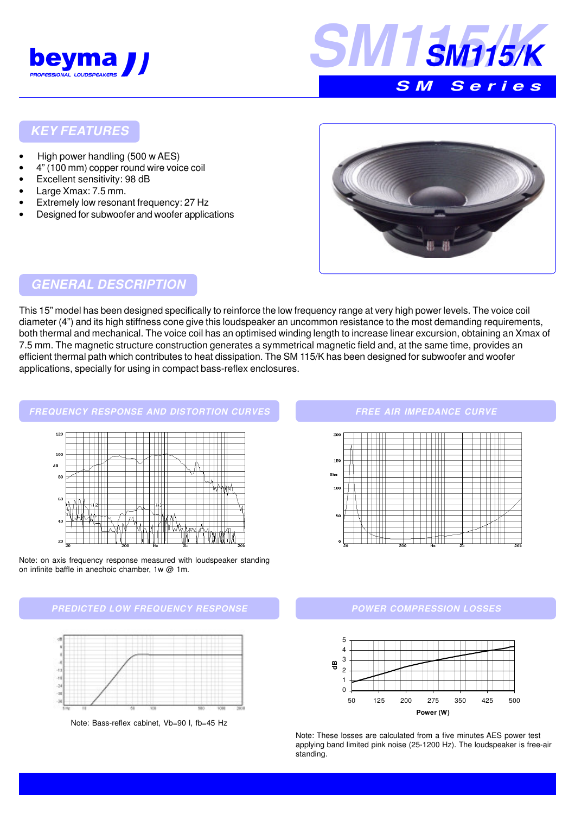



### **KEY FEATURES**

- High power handling (500 w AES)
- 4" (100 mm) copper round wire voice coil
- Excellent sensitivity: 98 dB
- Large Xmax: 7.5 mm.
- Extremely low resonant frequency: 27 Hz
- Designed for subwoofer and woofer applications



## **GENERAL DESCRIPTION**

This 15" model has been designed specifically to reinforce the low frequency range at very high power levels. The voice coil diameter (4") and its high stiffness cone give this loudspeaker an uncommon resistance to the most demanding requirements, both thermal and mechanical. The voice coil has an optimised winding length to increase linear excursion, obtaining an Xmax of 7.5 mm. The magnetic structure construction generates a symmetrical magnetic field and, at the same time, provides an efficient thermal path which contributes to heat dissipation. The SM 115/K has been designed for subwoofer and woofer applications, specially for using in compact bass-reflex enclosures.



Note: on axis frequency response measured with loudspeaker standing on infinite baffle in anechoic chamber, 1w @ 1m.





Note: Bass-reflex cabinet, Vb=90 l, fb=45 Hz

#### **FREE AIR IMPEDANCE CURVE**



#### **POWER COMPRESSION LOSSES**



Note: These losses are calculated from a five minutes AES power test applying band limited pink noise (25-1200 Hz). The loudspeaker is free-air standing.